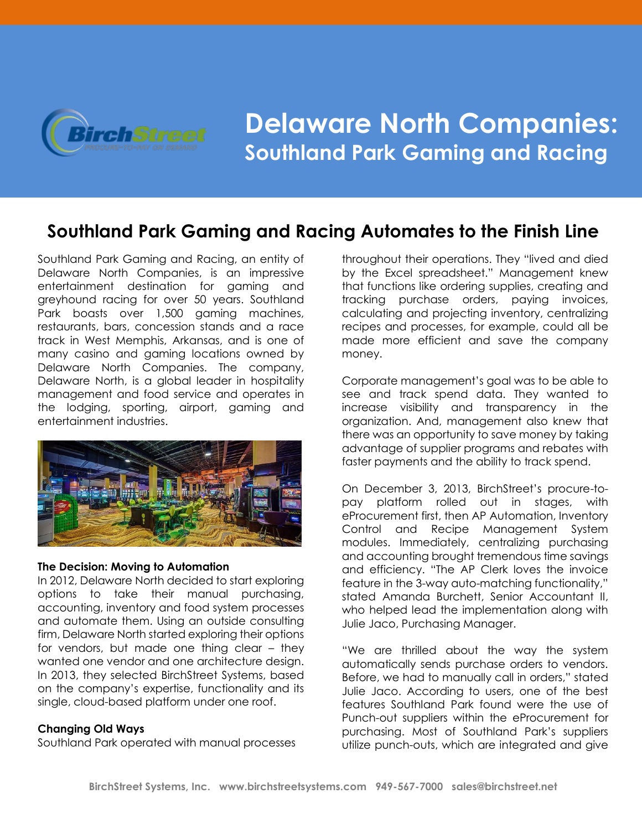

# **Delaware North Companies: Southland Park Gaming and Racing**

# **Southland Park Gaming and Racing Automates to the Finish Line**

Southland Park Gaming and Racing, an entity of Delaware North Companies, is an impressive entertainment destination for gaming and greyhound racing for over 50 years. Southland Park boasts over 1,500 gaming machines, restaurants, bars, concession stands and a race track in West Memphis, Arkansas, and is one of many casino and gaming locations owned by Delaware North Companies. The company, Delaware North, is a global leader in hospitality management and food service and operates in the lodging, sporting, airport, gaming and entertainment industries.



## **The Decision: Moving to Automation**

In 2012, Delaware North decided to start exploring options to take their manual purchasing, accounting, inventory and food system processes and automate them. Using an outside consulting firm, Delaware North started exploring their options for vendors, but made one thing clear – they wanted one vendor and one architecture design. In 2013, they selected BirchStreet Systems, based on the company's expertise, functionality and its single, cloud-based platform under one roof.

# **Changing Old Ways**

Southland Park operated with manual processes

throughout their operations. They "lived and died by the Excel spreadsheet." Management knew that functions like ordering supplies, creating and tracking purchase orders, paying invoices, calculating and projecting inventory, centralizing recipes and processes, for example, could all be made more efficient and save the company money.

Corporate management's goal was to be able to see and track spend data. They wanted to increase visibility and transparency in the organization. And, management also knew that there was an opportunity to save money by taking advantage of supplier programs and rebates with faster payments and the ability to track spend.

On December 3, 2013, BirchStreet's procure-topay platform rolled out in stages, with eProcurement first, then AP Automation, Inventory Control and Recipe Management System modules. Immediately, centralizing purchasing and accounting brought tremendous time savings and efficiency. "The AP Clerk loves the invoice feature in the 3-way auto-matching functionality," stated Amanda Burchett, Senior Accountant II, who helped lead the implementation along with Julie Jaco, Purchasing Manager.

"We are thrilled about the way the system automatically sends purchase orders to vendors. Before, we had to manually call in orders," stated Julie Jaco. According to users, one of the best features Southland Park found were the use of Punch-out suppliers within the eProcurement for purchasing. Most of Southland Park's suppliers utilize punch-outs, which are integrated and give